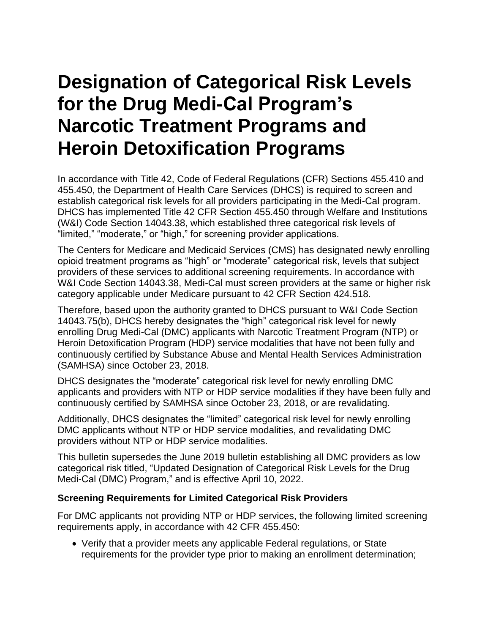## **Designation of Categorical Risk Levels for the Drug Medi-Cal Program's Narcotic Treatment Programs and Heroin Detoxification Programs**

In accordance with Title 42, Code of Federal Regulations (CFR) Sections 455.410 and 455.450, the Department of Health Care Services (DHCS) is required to screen and establish categorical risk levels for all providers participating in the Medi-Cal program. DHCS has implemented Title 42 CFR Section 455.450 through Welfare and Institutions (W&I) Code Section 14043.38, which established three categorical risk levels of "limited," "moderate," or "high," for screening provider applications.

The Centers for Medicare and Medicaid Services (CMS) has designated newly enrolling opioid treatment programs as "high" or "moderate" categorical risk, levels that subject providers of these services to additional screening requirements. In accordance with W&I Code Section 14043.38, Medi-Cal must screen providers at the same or higher risk category applicable under Medicare pursuant to 42 CFR Section 424.518.

Therefore, based upon the authority granted to DHCS pursuant to W&I Code Section 14043.75(b), DHCS hereby designates the "high" categorical risk level for newly enrolling Drug Medi-Cal (DMC) applicants with Narcotic Treatment Program (NTP) or Heroin Detoxification Program (HDP) service modalities that have not been fully and continuously certified by Substance Abuse and Mental Health Services Administration (SAMHSA) since October 23, 2018.

DHCS designates the "moderate" categorical risk level for newly enrolling DMC applicants and providers with NTP or HDP service modalities if they have been fully and continuously certified by SAMHSA since October 23, 2018, or are revalidating.

Additionally, DHCS designates the "limited" categorical risk level for newly enrolling DMC applicants without NTP or HDP service modalities, and revalidating DMC providers without NTP or HDP service modalities.

This bulletin supersedes the June 2019 bulletin establishing all DMC providers as low categorical risk titled, "Updated Designation of Categorical Risk Levels for the Drug Medi-Cal (DMC) Program," and is effective April 10, 2022.

## **Screening Requirements for Limited Categorical Risk Providers**

For DMC applicants not providing NTP or HDP services, the following limited screening requirements apply, in accordance with 42 CFR 455.450:

• Verify that a provider meets any applicable Federal regulations, or State requirements for the provider type prior to making an enrollment determination;